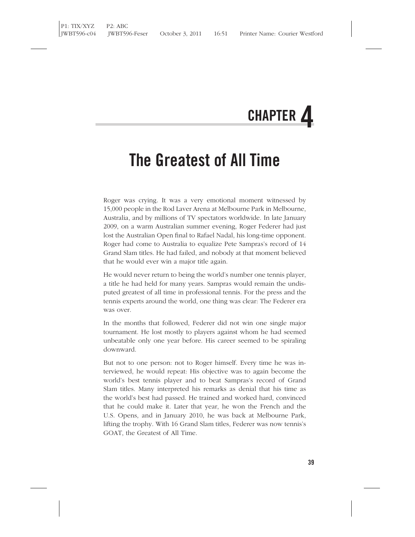# **CHAPTER 4**

## **The Greatest of All Time**

Roger was crying. It was a very emotional moment witnessed by 15,000 people in the Rod Laver Arena at Melbourne Park in Melbourne, Australia, and by millions of TV spectators worldwide. In late January 2009, on a warm Australian summer evening, Roger Federer had just lost the Australian Open final to Rafael Nadal, his long-time opponent. Roger had come to Australia to equalize Pete Sampras's record of 14 Grand Slam titles. He had failed, and nobody at that moment believed that he would ever win a major title again.

He would never return to being the world's number one tennis player, a title he had held for many years. Sampras would remain the undisputed greatest of all time in professional tennis. For the press and the tennis experts around the world, one thing was clear: The Federer era was over.

In the months that followed, Federer did not win one single major tournament. He lost mostly to players against whom he had seemed unbeatable only one year before. His career seemed to be spiraling downward.

But not to one person: not to Roger himself. Every time he was interviewed, he would repeat: His objective was to again become the world's best tennis player and to beat Sampras's record of Grand Slam titles. Many interpreted his remarks as denial that his time as the world's best had passed. He trained and worked hard, convinced that he could make it. Later that year, he won the French and the U.S. Opens, and in January 2010, he was back at Melbourne Park, lifting the trophy. With 16 Grand Slam titles, Federer was now tennis's GOAT, the Greatest of All Time.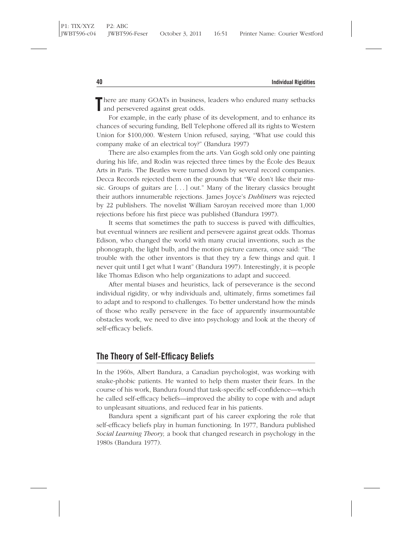There are many GOATs in business, leaders who endured many setbacks and persevered against great odds. and persevered against great odds.

For example, in the early phase of its development, and to enhance its chances of securing funding, Bell Telephone offered all its rights to Western Union for \$100,000. Western Union refused, saying, "What use could this company make of an electrical toy?" (Bandura 1997)

There are also examples from the arts. Van Gogh sold only one painting during his life, and Rodin was rejected three times by the Ecole des Beaux ´ Arts in Paris. The Beatles were turned down by several record companies. Decca Records rejected them on the grounds that "We don't like their music. Groups of guitars are [. . . ] out." Many of the literary classics brought their authors innumerable rejections. James Joyce's *Dubliners* was rejected by 22 publishers. The novelist William Saroyan received more than 1,000 rejections before his first piece was published (Bandura 1997).

It seems that sometimes the path to success is paved with difficulties, but eventual winners are resilient and persevere against great odds. Thomas Edison, who changed the world with many crucial inventions, such as the phonograph, the light bulb, and the motion picture camera, once said: "The trouble with the other inventors is that they try a few things and quit. I never quit until I get what I want" (Bandura 1997). Interestingly, it is people like Thomas Edison who help organizations to adapt and succeed.

After mental biases and heuristics, lack of perseverance is the second individual rigidity, or why individuals and, ultimately, firms sometimes fail to adapt and to respond to challenges. To better understand how the minds of those who really persevere in the face of apparently insurmountable obstacles work, we need to dive into psychology and look at the theory of self-efficacy beliefs.

### **The Theory of Self-Efficacy Beliefs**

In the 1960s, Albert Bandura, a Canadian psychologist, was working with snake-phobic patients. He wanted to help them master their fears. In the course of his work, Bandura found that task-specific self-confidence—which he called self-efficacy beliefs—improved the ability to cope with and adapt to unpleasant situations, and reduced fear in his patients.

Bandura spent a significant part of his career exploring the role that self-efficacy beliefs play in human functioning. In 1977, Bandura published *Social Learning Theory,* a book that changed research in psychology in the 1980s (Bandura 1977).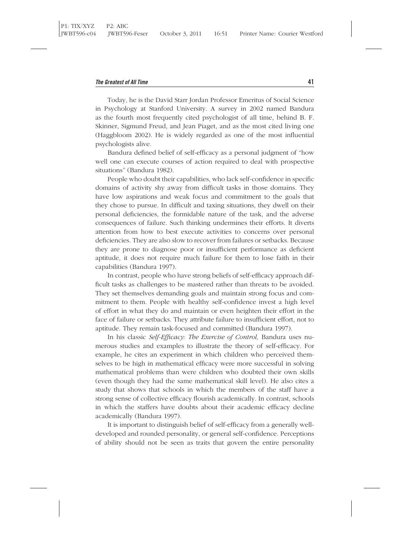Today, he is the David Starr Jordan Professor Emeritus of Social Science in Psychology at Stanford University. A survey in 2002 named Bandura as the fourth most frequently cited psychologist of all time, behind B. F. Skinner, Sigmund Freud, and Jean Piaget, and as the most cited living one (Haggbloom 2002). He is widely regarded as one of the most influential psychologists alive.

Bandura defined belief of self-efficacy as a personal judgment of "how well one can execute courses of action required to deal with prospective situations" (Bandura 1982).

People who doubt their capabilities, who lack self-confidence in specific domains of activity shy away from difficult tasks in those domains. They have low aspirations and weak focus and commitment to the goals that they chose to pursue. In difficult and taxing situations, they dwell on their personal deficiencies, the formidable nature of the task, and the adverse consequences of failure. Such thinking undermines their efforts. It diverts attention from how to best execute activities to concerns over personal deficiencies. They are also slow to recover from failures or setbacks. Because they are prone to diagnose poor or insufficient performance as deficient aptitude, it does not require much failure for them to lose faith in their capabilities (Bandura 1997).

In contrast, people who have strong beliefs of self-efficacy approach difficult tasks as challenges to be mastered rather than threats to be avoided. They set themselves demanding goals and maintain strong focus and commitment to them. People with healthy self-confidence invest a high level of effort in what they do and maintain or even heighten their effort in the face of failure or setbacks. They attribute failure to insufficient effort, not to aptitude. They remain task-focused and committed (Bandura 1997).

In his classic *Self-Efficacy: The Exercise of Control,* Bandura uses numerous studies and examples to illustrate the theory of self-efficacy. For example, he cites an experiment in which children who perceived themselves to be high in mathematical efficacy were more successful in solving mathematical problems than were children who doubted their own skills (even though they had the same mathematical skill level). He also cites a study that shows that schools in which the members of the staff have a strong sense of collective efficacy flourish academically. In contrast, schools in which the staffers have doubts about their academic efficacy decline academically (Bandura 1997).

It is important to distinguish belief of self-efficacy from a generally welldeveloped and rounded personality, or general self-confidence. Perceptions of ability should not be seen as traits that govern the entire personality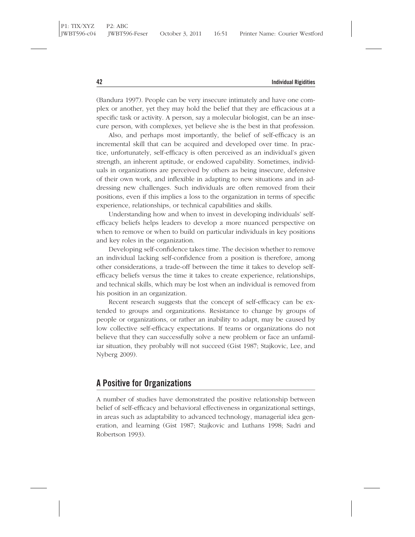(Bandura 1997). People can be very insecure intimately and have one complex or another, yet they may hold the belief that they are efficacious at a specific task or activity. A person, say a molecular biologist, can be an insecure person, with complexes, yet believe she is the best in that profession.

Also, and perhaps most importantly, the belief of self-efficacy is an incremental skill that can be acquired and developed over time. In practice, unfortunately, self-efficacy is often perceived as an individual's given strength, an inherent aptitude, or endowed capability. Sometimes, individuals in organizations are perceived by others as being insecure, defensive of their own work, and inflexible in adapting to new situations and in addressing new challenges. Such individuals are often removed from their positions, even if this implies a loss to the organization in terms of specific experience, relationships, or technical capabilities and skills.

Understanding how and when to invest in developing individuals' selfefficacy beliefs helps leaders to develop a more nuanced perspective on when to remove or when to build on particular individuals in key positions and key roles in the organization.

Developing self-confidence takes time. The decision whether to remove an individual lacking self-confidence from a position is therefore, among other considerations, a trade-off between the time it takes to develop selfefficacy beliefs versus the time it takes to create experience, relationships, and technical skills, which may be lost when an individual is removed from his position in an organization.

Recent research suggests that the concept of self-efficacy can be extended to groups and organizations. Resistance to change by groups of people or organizations, or rather an inability to adapt, may be caused by low collective self-efficacy expectations. If teams or organizations do not believe that they can successfully solve a new problem or face an unfamiliar situation, they probably will not succeed (Gist 1987; Stajkovic, Lee, and Nyberg 2009).

## **A Positive for Organizations**

A number of studies have demonstrated the positive relationship between belief of self-efficacy and behavioral effectiveness in organizational settings, in areas such as adaptability to advanced technology, managerial idea generation, and learning (Gist 1987; Stajkovic and Luthans 1998; Sadri and Robertson 1993).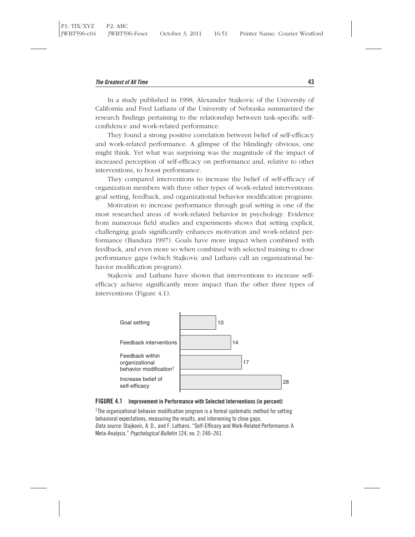In a study published in 1998, Alexander Stajkovic of the University of California and Fred Luthans of the University of Nebraska summarized the research findings pertaining to the relationship between task-specific selfconfidence and work-related performance.

They found a strong positive correlation between belief of self-efficacy and work-related performance. A glimpse of the blindingly obvious, one might think. Yet what was surprising was the magnitude of the impact of increased perception of self-efficacy on performance and, relative to other interventions, to boost performance.

They compared interventions to increase the belief of self-efficacy of organization members with three other types of work-related interventions: goal setting, feedback, and organizational behavior modification programs.

Motivation to increase performance through goal setting is one of the most researched areas of work-related behavior in psychology. Evidence from numerous field studies and experiments shows that setting explicit, challenging goals significantly enhances motivation and work-related performance (Bandura 1997). Goals have more impact when combined with feedback, and even more so when combined with selected training to close performance gaps (which Stajkovic and Luthans call an organizational behavior modification program).

Stajkovic and Luthans have shown that interventions to increase selfefficacy achieve significantly more impact than the other three types of interventions (Figure 4.1).



#### **FIGURE 4.1 Improvement in Performance with Selected Interventions (in percent)**

<sup>1</sup>The organizational behavior modification program is a formal systematic method for setting behavioral expectations, measuring the results, and intervening to close gaps. Data source: Stajkovic, A. D., and F. Luthans. "Self-Efficacy and Work-Related Performance: A Meta-Analysis." Psychological Bulletin 124, no. 2: 240–261.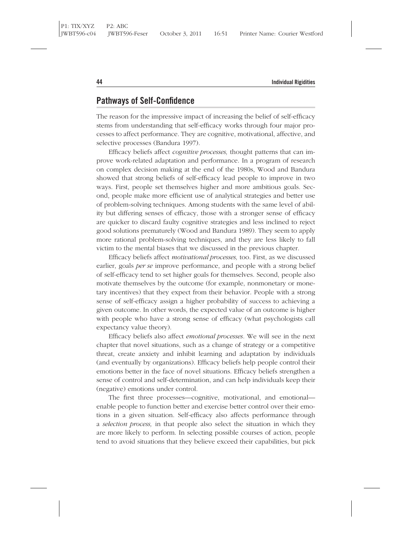### **Pathways of Self-Confidence**

The reason for the impressive impact of increasing the belief of self-efficacy stems from understanding that self-efficacy works through four major processes to affect performance. They are cognitive, motivational, affective, and selective processes (Bandura 1997).

Efficacy beliefs affect *cognitive processes,* thought patterns that can improve work-related adaptation and performance. In a program of research on complex decision making at the end of the 1980s, Wood and Bandura showed that strong beliefs of self-efficacy lead people to improve in two ways. First, people set themselves higher and more ambitious goals. Second, people make more efficient use of analytical strategies and better use of problem-solving techniques. Among students with the same level of ability but differing senses of efficacy, those with a stronger sense of efficacy are quicker to discard faulty cognitive strategies and less inclined to reject good solutions prematurely (Wood and Bandura 1989). They seem to apply more rational problem-solving techniques, and they are less likely to fall victim to the mental biases that we discussed in the previous chapter.

Efficacy beliefs affect *motivational processes,* too. First, as we discussed earlier, goals *per se* improve performance, and people with a strong belief of self-efficacy tend to set higher goals for themselves. Second, people also motivate themselves by the outcome (for example, nonmonetary or monetary incentives) that they expect from their behavior. People with a strong sense of self-efficacy assign a higher probability of success to achieving a given outcome. In other words, the expected value of an outcome is higher with people who have a strong sense of efficacy (what psychologists call expectancy value theory).

Efficacy beliefs also affect *emotional processes.* We will see in the next chapter that novel situations, such as a change of strategy or a competitive threat, create anxiety and inhibit learning and adaptation by individuals (and eventually by organizations). Efficacy beliefs help people control their emotions better in the face of novel situations. Efficacy beliefs strengthen a sense of control and self-determination, and can help individuals keep their (negative) emotions under control.

The first three processes—cognitive, motivational, and emotional enable people to function better and exercise better control over their emotions in a given situation. Self-efficacy also affects performance through a *selection process,* in that people also select the situation in which they are more likely to perform. In selecting possible courses of action, people tend to avoid situations that they believe exceed their capabilities, but pick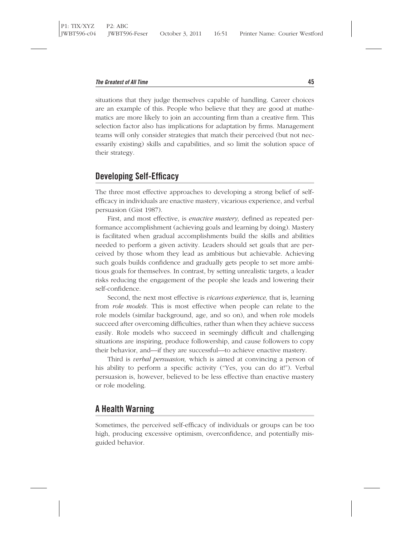situations that they judge themselves capable of handling. Career choices are an example of this. People who believe that they are good at mathematics are more likely to join an accounting firm than a creative firm. This selection factor also has implications for adaptation by firms. Management teams will only consider strategies that match their perceived (but not necessarily existing) skills and capabilities, and so limit the solution space of their strategy.

## **Developing Self-Efficacy**

The three most effective approaches to developing a strong belief of selfefficacy in individuals are enactive mastery, vicarious experience, and verbal persuasion (Gist 1987).

First, and most effective, is *enactive mastery,* defined as repeated performance accomplishment (achieving goals and learning by doing). Mastery is facilitated when gradual accomplishments build the skills and abilities needed to perform a given activity. Leaders should set goals that are perceived by those whom they lead as ambitious but achievable. Achieving such goals builds confidence and gradually gets people to set more ambitious goals for themselves. In contrast, by setting unrealistic targets, a leader risks reducing the engagement of the people she leads and lowering their self-confidence.

Second, the next most effective is *vicarious experience,* that is, learning from *role models.* This is most effective when people can relate to the role models (similar background, age, and so on), and when role models succeed after overcoming difficulties, rather than when they achieve success easily. Role models who succeed in seemingly difficult and challenging situations are inspiring, produce followership, and cause followers to copy their behavior, and—if they are successful—to achieve enactive mastery.

Third is *verbal persuasion,* which is aimed at convincing a person of his ability to perform a specific activity ("Yes, you can do it!"). Verbal persuasion is, however, believed to be less effective than enactive mastery or role modeling.

## **A Health Warning**

Sometimes, the perceived self-efficacy of individuals or groups can be too high, producing excessive optimism, overconfidence, and potentially misguided behavior.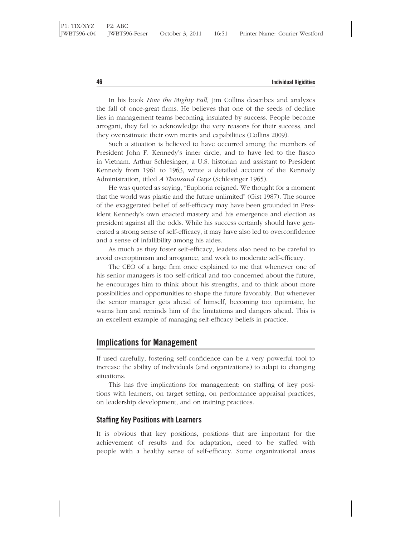In his book *How the Mighty Fall,* Jim Collins describes and analyzes the fall of once-great firms. He believes that one of the seeds of decline lies in management teams becoming insulated by success. People become arrogant, they fail to acknowledge the very reasons for their success, and they overestimate their own merits and capabilities (Collins 2009).

Such a situation is believed to have occurred among the members of President John F. Kennedy's inner circle, and to have led to the fiasco in Vietnam. Arthur Schlesinger, a U.S. historian and assistant to President Kennedy from 1961 to 1963, wrote a detailed account of the Kennedy Administration, titled *A Thousand Days* (Schlesinger 1965).

He was quoted as saying, "Euphoria reigned. We thought for a moment that the world was plastic and the future unlimited" (Gist 1987). The source of the exaggerated belief of self-efficacy may have been grounded in President Kennedy's own enacted mastery and his emergence and election as president against all the odds. While his success certainly should have generated a strong sense of self-efficacy, it may have also led to overconfidence and a sense of infallibility among his aides.

As much as they foster self-efficacy, leaders also need to be careful to avoid overoptimism and arrogance, and work to moderate self-efficacy.

The CEO of a large firm once explained to me that whenever one of his senior managers is too self-critical and too concerned about the future, he encourages him to think about his strengths, and to think about more possibilities and opportunities to shape the future favorably. But whenever the senior manager gets ahead of himself, becoming too optimistic, he warns him and reminds him of the limitations and dangers ahead. This is an excellent example of managing self-efficacy beliefs in practice.

### **Implications for Management**

If used carefully, fostering self-confidence can be a very powerful tool to increase the ability of individuals (and organizations) to adapt to changing situations.

This has five implications for management: on staffing of key positions with learners, on target setting, on performance appraisal practices, on leadership development, and on training practices.

#### **Staffing Key Positions with Learners**

It is obvious that key positions, positions that are important for the achievement of results and for adaptation, need to be staffed with people with a healthy sense of self-efficacy. Some organizational areas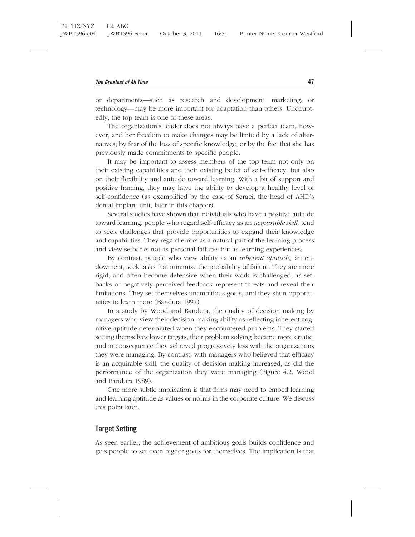or departments—such as research and development, marketing, or technology—may be more important for adaptation than others. Undoubtedly, the top team is one of these areas.

The organization's leader does not always have a perfect team, however, and her freedom to make changes may be limited by a lack of alternatives, by fear of the loss of specific knowledge, or by the fact that she has previously made commitments to specific people.

It may be important to assess members of the top team not only on their existing capabilities and their existing belief of self-efficacy, but also on their flexibility and attitude toward learning. With a bit of support and positive framing, they may have the ability to develop a healthy level of self-confidence (as exemplified by the case of Sergei, the head of AHD's dental implant unit, later in this chapter).

Several studies have shown that individuals who have a positive attitude toward learning, people who regard self-efficacy as an *acquirable skill,* tend to seek challenges that provide opportunities to expand their knowledge and capabilities. They regard errors as a natural part of the learning process and view setbacks not as personal failures but as learning experiences.

By contrast, people who view ability as an *inherent aptitude,* an endowment, seek tasks that minimize the probability of failure. They are more rigid, and often become defensive when their work is challenged, as setbacks or negatively perceived feedback represent threats and reveal their limitations. They set themselves unambitious goals, and they shun opportunities to learn more (Bandura 1997).

In a study by Wood and Bandura, the quality of decision making by managers who view their decision-making ability as reflecting inherent cognitive aptitude deteriorated when they encountered problems. They started setting themselves lower targets, their problem solving became more erratic, and in consequence they achieved progressively less with the organizations they were managing. By contrast, with managers who believed that efficacy is an acquirable skill, the quality of decision making increased, as did the performance of the organization they were managing (Figure 4.2, Wood and Bandura 1989).

One more subtle implication is that firms may need to embed learning and learning aptitude as values or norms in the corporate culture. We discuss this point later.

### **Target Setting**

As seen earlier, the achievement of ambitious goals builds confidence and gets people to set even higher goals for themselves. The implication is that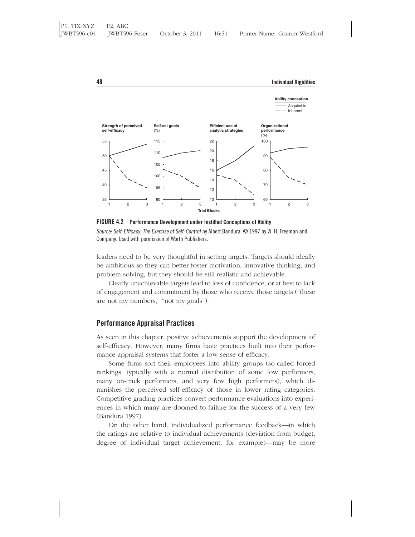

**FIGURE 4.2 Performance Development under Instilled Conceptions of Ability** Source: Self-Efficacy: The Exercise of Self-Control by Albert Bandura. © 1997 by W. H. Freeman and

Company. Used with permission of Worth Publishers.

leaders need to be very thoughtful in setting targets. Targets should ideally be ambitious so they can better foster motivation, innovative thinking, and problem solving, but they should be still realistic and achievable.

Clearly unachievable targets lead to loss of confidence, or at best to lack of engagement and commitment by those who receive those targets ("these are not my numbers," "not my goals").

#### **Performance Appraisal Practices**

As seen in this chapter, positive achievements support the development of self-efficacy. However, many firms have practices built into their performance appraisal systems that foster a low sense of efficacy.

Some firms sort their employees into ability groups (so-called forced rankings, typically with a normal distribution of some low performers, many on-track performers, and very few high performers), which diminishes the perceived self-efficacy of those in lower rating categories. Competitive grading practices convert performance evaluations into experiences in which many are doomed to failure for the success of a very few (Bandura 1997).

On the other hand, individualized performance feedback—in which the ratings are relative to individual achievements (deviation from budget, degree of individual target achievement, for example)—may be more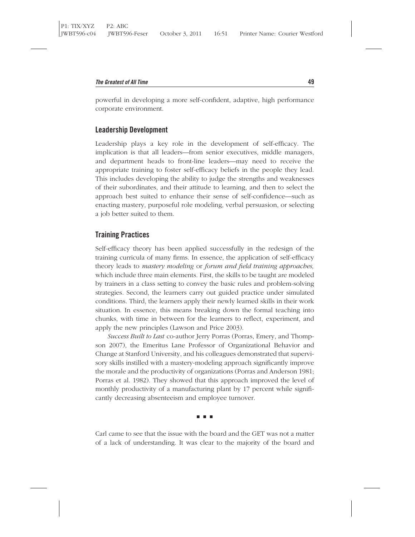powerful in developing a more self-confident, adaptive, high performance corporate environment.

#### **Leadership Development**

Leadership plays a key role in the development of self-efficacy. The implication is that all leaders—from senior executives, middle managers, and department heads to front-line leaders—may need to receive the appropriate training to foster self-efficacy beliefs in the people they lead. This includes developing the ability to judge the strengths and weaknesses of their subordinates, and their attitude to learning, and then to select the approach best suited to enhance their sense of self-confidence—such as enacting mastery, purposeful role modeling, verbal persuasion, or selecting a job better suited to them.

#### **Training Practices**

Self-efficacy theory has been applied successfully in the redesign of the training curricula of many firms. In essence, the application of self-efficacy theory leads to *mastery modeling* or *forum and field training approaches,* which include three main elements. First, the skills to be taught are modeled by trainers in a class setting to convey the basic rules and problem-solving strategies. Second, the learners carry out guided practice under simulated conditions. Third, the learners apply their newly learned skills in their work situation. In essence, this means breaking down the formal teaching into chunks, with time in between for the learners to reflect, experiment, and apply the new principles (Lawson and Price 2003).

*Success Built to Last* co-author Jerry Porras (Porras, Emery, and Thompson 2007), the Emeritus Lane Professor of Organizational Behavior and Change at Stanford University, and his colleagues demonstrated that supervisory skills instilled with a mastery-modeling approach significantly improve the morale and the productivity of organizations (Porras and Anderson 1981; Porras et al. 1982). They showed that this approach improved the level of monthly productivity of a manufacturing plant by 17 percent while significantly decreasing absenteeism and employee turnover.

---

Carl came to see that the issue with the board and the GET was not a matter of a lack of understanding. It was clear to the majority of the board and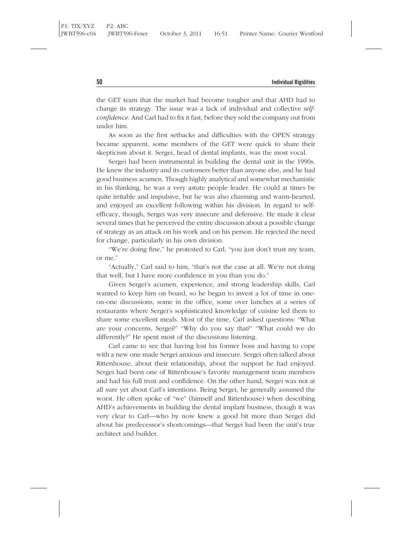the GET team that the market had become tougher and that AHD had to change its strategy. The issue was a lack of individual and collective *selfconfidence.* And Carl had to fix it fast, before they sold the company out from under him.

As soon as the first setbacks and difficulties with the OPEN strategy became apparent, some members of the GET were quick to share their skepticism about it. Sergei, head of dental implants, was the most vocal.

Sergei had been instrumental in building the dental unit in the 1990s. He knew the industry and its customers better than anyone else, and he had good business acumen. Though highly analytical and somewhat mechanistic in his thinking, he was a very astute people leader. He could at times be quite irritable and impulsive, but he was also charming and warm-hearted, and enjoyed an excellent following within his division. In regard to selfefficacy, though, Sergei was very insecure and defensive. He made it clear several times that he perceived the entire discussion about a possible change of strategy as an attack on his work and on his person. He rejected the need for change, particularly in his own division.

"We're doing fine," he protested to Carl, "you just don't trust my team, or me."

"Actually," Carl said to him, "that's not the case at all. We're not doing that well, but I have more confidence in you than you do."

Given Sergei's acumen, experience, and strong leadership skills, Carl wanted to keep him on board, so he began to invest a lot of time in oneon-one discussions, some in the office, some over lunches at a series of restaurants where Sergei's sophisticated knowledge of cuisine led them to share some excellent meals. Most of the time, Carl asked questions: "What are your concerns, Sergei?" "Why do you say that?" "What could we do differently?" He spent most of the discussions listening.

Carl came to see that having lost his former boss and having to cope with a new one made Sergei anxious and insecure. Sergei often talked about Rittenhouse, about their relationship, about the support he had enjoyed. Sergei had been one of Rittenhouse's favorite management team members and had his full trust and confidence. On the other hand, Sergei was not at all sure yet about Carl's intentions. Being Sergei, he generally assumed the worst. He often spoke of "we" (himself and Rittenhouse) when describing AHD's achievements in building the dental implant business, though it was very clear to Carl—who by now knew a good bit more than Sergei did about his predecessor's shortcomings—that Sergei had been the unit's true architect and builder.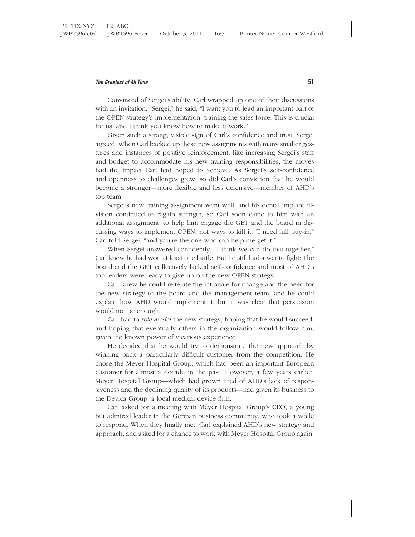Convinced of Sergei's ability, Carl wrapped up one of their discussions with an invitation. "Sergei," he said, "I want you to lead an important part of the OPEN strategy's implementation: training the sales force. This is crucial for us, and I think you know how to make it work."

Given such a strong, visible sign of Carl's confidence and trust, Sergei agreed. When Carl backed up these new assignments with many smaller gestures and instances of positive reinforcement, like increasing Sergei's staff and budget to accommodate his new training responsibilities, the moves had the impact Carl had hoped to achieve. As Sergei's self-confidence and openness to challenges grew, so did Carl's conviction that he would become a stronger—more flexible and less defensive—member of AHD's top team.

Sergei's new training assignment went well, and his dental implant division continued to regain strength, so Carl soon came to him with an additional assignment: to help him engage the GET and the board in discussing ways to implement OPEN, not ways to kill it. "I need full buy-in," Carl told Sergei, "and you're the one who can help me get it."

When Sergei answered confidently, "I think we can do that together," Carl knew he had won at least one battle. But he still had a war to fight: The board and the GET collectively lacked self-confidence and most of AHD's top leaders were ready to give up on the new OPEN strategy.

Carl knew he could reiterate the rationale for change and the need for the new strategy to the board and the management team, and he could explain how AHD would implement it, but it was clear that persuasion would not be enough.

Carl had to *role model* the new strategy, hoping that he would succeed, and hoping that eventually others in the organization would follow him, given the known power of vicarious experience.

He decided that he would try to demonstrate the new approach by winning back a particularly difficult customer from the competition. He chose the Meyer Hospital Group, which had been an important European customer for almost a decade in the past. However, a few years earlier, Meyer Hospital Group—which had grown tired of AHD's lack of responsiveness and the declining quality of its products—had given its business to the Devica Group, a local medical device firm.

Carl asked for a meeting with Meyer Hospital Group's CEO, a young but admired leader in the German business community, who took a while to respond. When they finally met, Carl explained AHD's new strategy and approach, and asked for a chance to work with Meyer Hospital Group again.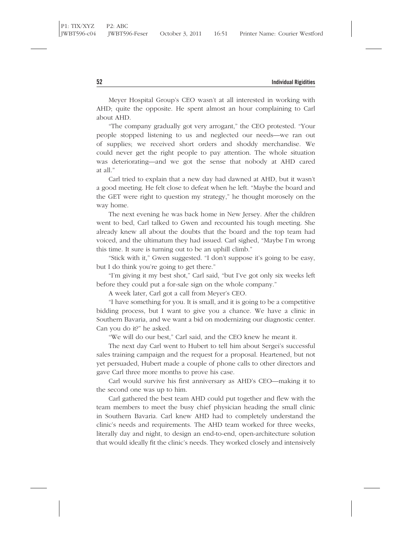Meyer Hospital Group's CEO wasn't at all interested in working with AHD; quite the opposite. He spent almost an hour complaining to Carl about AHD.

"The company gradually got very arrogant," the CEO protested. "Your people stopped listening to us and neglected our needs—we ran out of supplies; we received short orders and shoddy merchandise. We could never get the right people to pay attention. The whole situation was deteriorating—and we got the sense that nobody at AHD cared at all."

Carl tried to explain that a new day had dawned at AHD, but it wasn't a good meeting. He felt close to defeat when he left. "Maybe the board and the GET were right to question my strategy," he thought morosely on the way home.

The next evening he was back home in New Jersey. After the children went to bed, Carl talked to Gwen and recounted his tough meeting. She already knew all about the doubts that the board and the top team had voiced, and the ultimatum they had issued. Carl sighed, "Maybe I'm wrong this time. It sure is turning out to be an uphill climb."

"Stick with it," Gwen suggested. "I don't suppose it's going to be easy, but I do think you're going to get there."

"I'm giving it my best shot," Carl said, "but I've got only six weeks left before they could put a for-sale sign on the whole company."

A week later, Carl got a call from Meyer's CEO.

"I have something for you. It is small, and it is going to be a competitive bidding process, but I want to give you a chance. We have a clinic in Southern Bavaria, and we want a bid on modernizing our diagnostic center. Can you do it?" he asked.

"We will do our best," Carl said, and the CEO knew he meant it.

The next day Carl went to Hubert to tell him about Sergei's successful sales training campaign and the request for a proposal. Heartened, but not yet persuaded, Hubert made a couple of phone calls to other directors and gave Carl three more months to prove his case.

Carl would survive his first anniversary as AHD's CEO—making it to the second one was up to him.

Carl gathered the best team AHD could put together and flew with the team members to meet the busy chief physician heading the small clinic in Southern Bavaria. Carl knew AHD had to completely understand the clinic's needs and requirements. The AHD team worked for three weeks, literally day and night, to design an end-to-end, open-architecture solution that would ideally fit the clinic's needs. They worked closely and intensively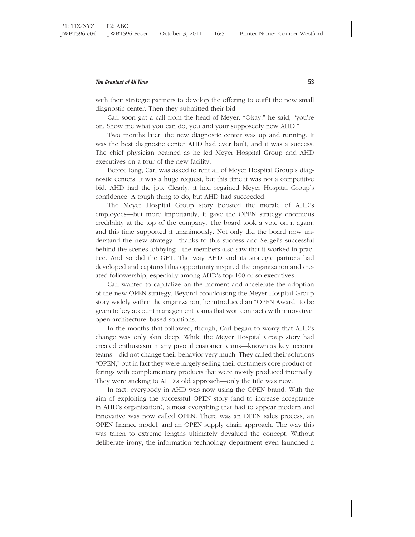with their strategic partners to develop the offering to outfit the new small diagnostic center. Then they submitted their bid.

Carl soon got a call from the head of Meyer. "Okay," he said, "you're on. Show me what you can do, you and your supposedly new AHD."

Two months later, the new diagnostic center was up and running. It was the best diagnostic center AHD had ever built, and it was a success. The chief physician beamed as he led Meyer Hospital Group and AHD executives on a tour of the new facility.

Before long, Carl was asked to refit all of Meyer Hospital Group's diagnostic centers. It was a huge request, but this time it was not a competitive bid. AHD had the job. Clearly, it had regained Meyer Hospital Group's confidence. A tough thing to do, but AHD had succeeded.

The Meyer Hospital Group story boosted the morale of AHD's employees—but more importantly, it gave the OPEN strategy enormous credibility at the top of the company. The board took a vote on it again, and this time supported it unanimously. Not only did the board now understand the new strategy—thanks to this success and Sergei's successful behind-the-scenes lobbying—the members also saw that it worked in practice. And so did the GET. The way AHD and its strategic partners had developed and captured this opportunity inspired the organization and created followership, especially among AHD's top 100 or so executives.

Carl wanted to capitalize on the moment and accelerate the adoption of the new OPEN strategy. Beyond broadcasting the Meyer Hospital Group story widely within the organization, he introduced an "OPEN Award" to be given to key account management teams that won contracts with innovative, open architecture–based solutions.

In the months that followed, though, Carl began to worry that AHD's change was only skin deep. While the Meyer Hospital Group story had created enthusiasm, many pivotal customer teams—known as key account teams—did not change their behavior very much. They called their solutions "OPEN," but in fact they were largely selling their customers core product offerings with complementary products that were mostly produced internally. They were sticking to AHD's old approach—only the title was new.

In fact, everybody in AHD was now using the OPEN brand. With the aim of exploiting the successful OPEN story (and to increase acceptance in AHD's organization), almost everything that had to appear modern and innovative was now called OPEN. There was an OPEN sales process, an OPEN finance model, and an OPEN supply chain approach. The way this was taken to extreme lengths ultimately devalued the concept. Without deliberate irony, the information technology department even launched a